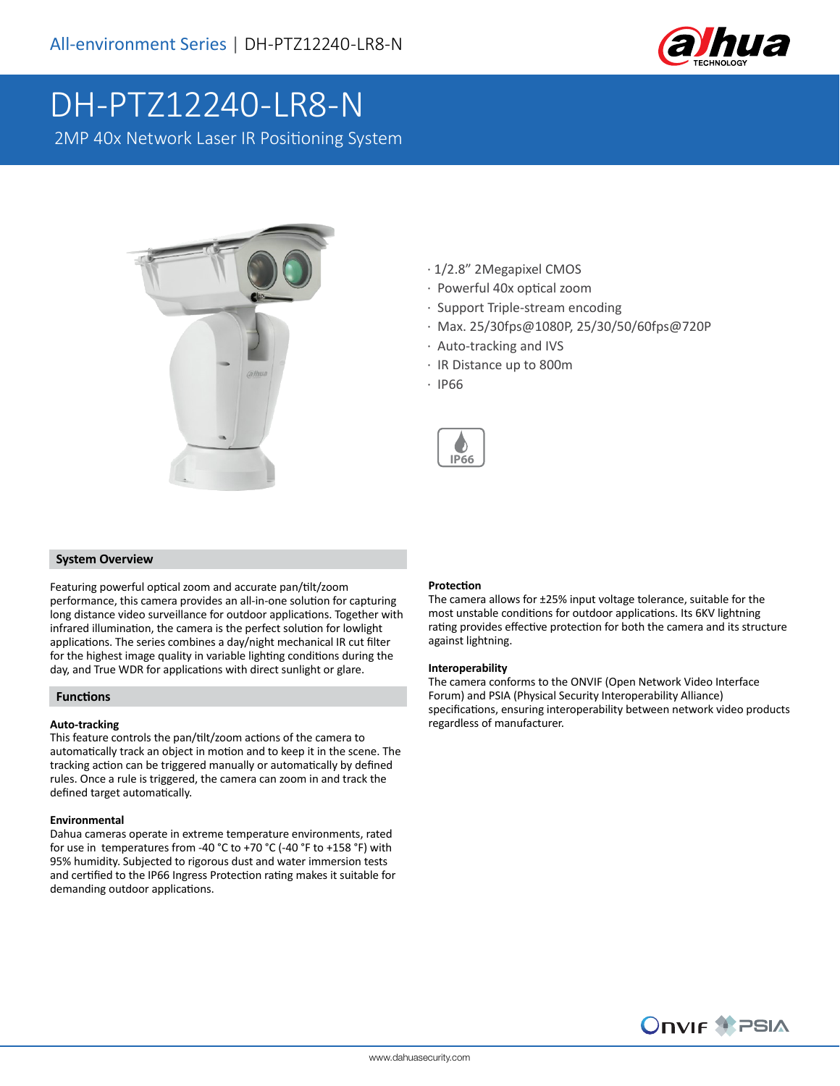

# DH-PTZ12240-LR8-N

2MP 40x Network Laser IR Positioning System



- · 1/2.8" 2Megapixel CMOS
- · Powerful 40x optical zoom
- · Support Triple-stream encoding
- · Max. 25/30fps@1080P, 25/30/50/60fps@720P
- · Auto-tracking and IVS
- · IR Distance up to 800m
- · IP66



# **System Overview**

Featuring powerful optical zoom and accurate pan/tilt/zoom performance, this camera provides an all-in-one solution for capturing long distance video surveillance for outdoor applications. Together with infrared illumination, the camera is the perfect solution for lowlight applications. The series combines a day/night mechanical IR cut filter for the highest image quality in variable lighting conditions during the day, and True WDR for applications with direct sunlight or glare.

#### **Functions**

# **Auto-tracking**

This feature controls the pan/tilt/zoom actions of the camera to automatically track an object in motion and to keep it in the scene. The tracking action can be triggered manually or automatically by defined rules. Once a rule is triggered, the camera can zoom in and track the defined target automatically.

#### **Environmental**

Dahua cameras operate in extreme temperature environments, rated for use in temperatures from -40 °C to +70 °C (-40 °F to +158 °F) with 95% humidity. Subjected to rigorous dust and water immersion tests and certified to the IP66 Ingress Protection rating makes it suitable for demanding outdoor applications.

### **Protection**

The camera allows for ±25% input voltage tolerance, suitable for the most unstable conditions for outdoor applications. Its 6KV lightning rating provides effective protection for both the camera and its structure against lightning.

#### **Interoperability**

The camera conforms to the ONVIF (Open Network Video Interface Forum) and PSIA (Physical Security Interoperability Alliance) specifications, ensuring interoperability between network video products regardless of manufacturer.

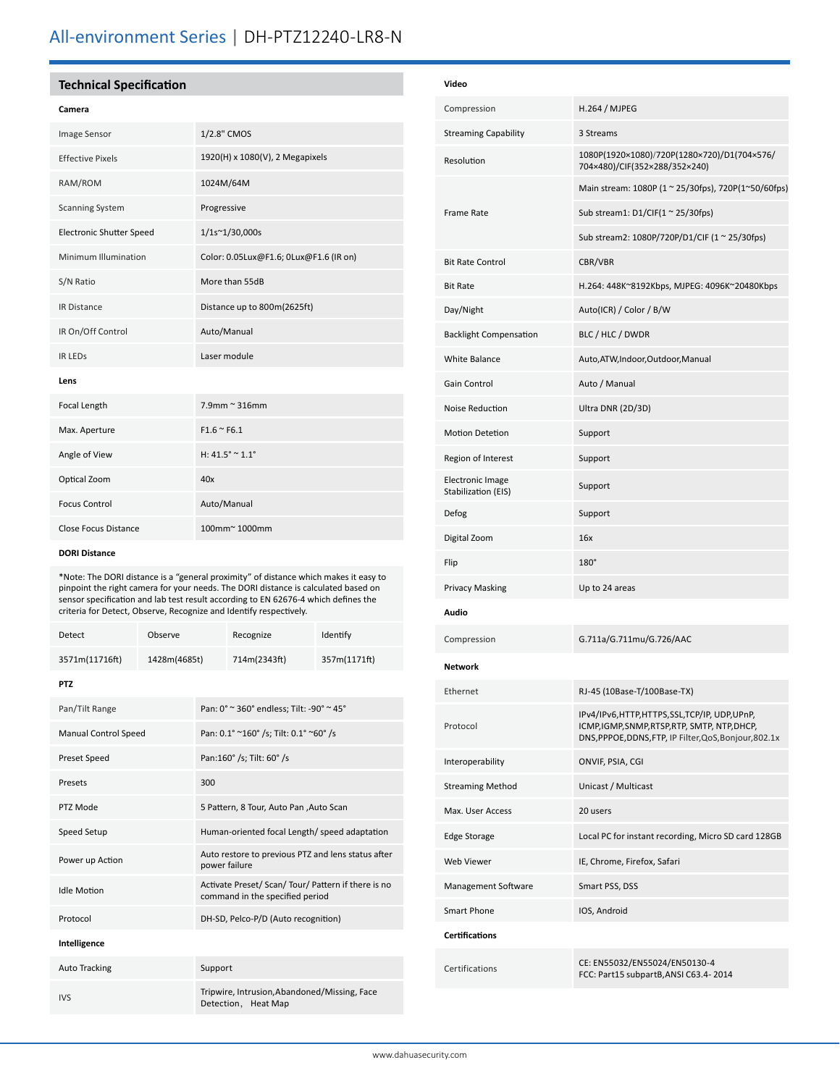# All-environment Series | DH-PTZ12240-LR8-N

# **Technical Specification**

#### **Camera**

| <b>Image Sensor</b>             | 1/2.8" CMOS                            |  |  |  |
|---------------------------------|----------------------------------------|--|--|--|
| <b>Effective Pixels</b>         | 1920(H) x 1080(V), 2 Megapixels        |  |  |  |
| RAM/ROM                         | 1024M/64M                              |  |  |  |
| <b>Scanning System</b>          | Progressive                            |  |  |  |
| <b>Electronic Shutter Speed</b> | 1/1s~1/30,000s                         |  |  |  |
| Minimum Illumination            | Color: 0.05Lux@F1.6; 0Lux@F1.6 (IR on) |  |  |  |
| S/N Ratio                       | More than 55dB                         |  |  |  |
| <b>IR Distance</b>              | Distance up to 800m(2625ft)            |  |  |  |
| IR On/Off Control               | Auto/Manual                            |  |  |  |
| <b>IR LEDS</b>                  | Laser module                           |  |  |  |
| Lens                            |                                        |  |  |  |
| Focal Length                    | $7.9$ mm ~ 316mm                       |  |  |  |
| Max. Aperture                   | $F1.6 \approx F6.1$                    |  |  |  |
| Angle of View                   | H: $41.5^{\circ} \approx 1.1^{\circ}$  |  |  |  |
| Optical Zoom                    | 40x                                    |  |  |  |
| <b>Focus Control</b>            | Auto/Manual                            |  |  |  |
| <b>Close Focus Distance</b>     | 100mm~1000mm                           |  |  |  |

#### **DORI Distance**

\*Note: The DORI distance is a "general proximity" of distance which makes it easy to pinpoint the right camera for your needs. The DORI distance is calculated based on sensor specification and lab test result according to EN 62676-4 which defines the criteria for Detect, Observe, Recognize and Identify respectively.

| Detect                      | Observe      |                                                                                        | Recognize    | Identify     |  |  |
|-----------------------------|--------------|----------------------------------------------------------------------------------------|--------------|--------------|--|--|
| 3571m(11716ft)              | 1428m(4685t) |                                                                                        | 714m(2343ft) | 357m(1171ft) |  |  |
| <b>PTZ</b>                  |              |                                                                                        |              |              |  |  |
| Pan/Tilt Range              |              | Pan: 0° ~ 360° endless; Tilt: -90° ~ 45°                                               |              |              |  |  |
| <b>Manual Control Speed</b> |              | Pan: 0.1° ~160° /s; Tilt: 0.1° ~60° /s                                                 |              |              |  |  |
| <b>Preset Speed</b>         |              | Pan:160° /s; Tilt: 60° /s                                                              |              |              |  |  |
| Presets                     |              | 300                                                                                    |              |              |  |  |
| PTZ Mode                    |              | 5 Pattern, 8 Tour, Auto Pan , Auto Scan                                                |              |              |  |  |
| Speed Setup                 |              | Human-oriented focal Length/ speed adaptation                                          |              |              |  |  |
| Power up Action             |              | Auto restore to previous PTZ and lens status after<br>power failure                    |              |              |  |  |
| <b>Idle Motion</b>          |              | Activate Preset/ Scan/ Tour/ Pattern if there is no<br>command in the specified period |              |              |  |  |
| Protocol                    |              | DH-SD, Pelco-P/D (Auto recognition)                                                    |              |              |  |  |
| Intelligence                |              |                                                                                        |              |              |  |  |
| <b>Auto Tracking</b>        |              | Support                                                                                |              |              |  |  |
| <b>IVS</b>                  |              | Tripwire, Intrusion, Abandoned/Missing, Face<br>Detection, Heat Map                    |              |              |  |  |

| Video                                          |                                                                                                                                                       |
|------------------------------------------------|-------------------------------------------------------------------------------------------------------------------------------------------------------|
| Compression                                    | <b>H.264 / MJPEG</b>                                                                                                                                  |
| <b>Streaming Capability</b>                    | 3 Streams                                                                                                                                             |
| Resolution                                     | 1080P(1920×1080)/720P(1280×720)/D1(704×576/<br>704×480)/CIF(352×288/352×240)                                                                          |
|                                                | Main stream: 1080P (1 ~ 25/30fps), 720P(1~50/60fps)                                                                                                   |
| <b>Frame Rate</b>                              | Sub stream1: $D1/CIF(1 ~ 25/30fps)$                                                                                                                   |
|                                                | Sub stream2: 1080P/720P/D1/CIF (1 ~ 25/30fps)                                                                                                         |
| <b>Bit Rate Control</b>                        | CBR/VBR                                                                                                                                               |
| <b>Bit Rate</b>                                | H.264: 448K~8192Kbps, MJPEG: 4096K~20480Kbps                                                                                                          |
| Day/Night                                      | Auto(ICR) / Color / B/W                                                                                                                               |
| <b>Backlight Compensation</b>                  | BLC / HLC / DWDR                                                                                                                                      |
| <b>White Balance</b>                           | Auto, ATW, Indoor, Outdoor, Manual                                                                                                                    |
| Gain Control                                   | Auto / Manual                                                                                                                                         |
| Noise Reduction                                | Ultra DNR (2D/3D)                                                                                                                                     |
| <b>Motion Detetion</b>                         | Support                                                                                                                                               |
| Region of Interest                             | Support                                                                                                                                               |
| <b>Electronic Image</b><br>Stabilization (EIS) | Support                                                                                                                                               |
| Defog                                          | Support                                                                                                                                               |
| Digital Zoom                                   | 16x                                                                                                                                                   |
| Flip                                           | $180^\circ$                                                                                                                                           |
| <b>Privacy Masking</b>                         | Up to 24 areas                                                                                                                                        |
| Audio                                          |                                                                                                                                                       |
| Compression                                    | G.711a/G.711mu/G.726/AAC                                                                                                                              |
| Network                                        |                                                                                                                                                       |
| Ethernet                                       | RJ-45 (10Base-T/100Base-TX)                                                                                                                           |
| Protocol                                       | IPv4/IPv6,HTTP,HTTPS,SSL,TCP/IP, UDP,UPnP,<br>ICMP, IGMP, SNMP, RTSP, RTP, SMTP, NTP, DHCP,<br>DNS, PPPOE, DDNS, FTP, IP Filter, QoS, Bonjour, 802.1x |
| Interoperability                               | ONVIF, PSIA, CGI                                                                                                                                      |
| <b>Streaming Method</b>                        | Unicast / Multicast                                                                                                                                   |
| Max. User Access                               | 20 users                                                                                                                                              |
| Edge Storage                                   | Local PC for instant recording, Micro SD card 128GB                                                                                                   |
| <b>Web Viewer</b>                              | IE, Chrome, Firefox, Safari                                                                                                                           |
| Management Software                            | Smart PSS, DSS                                                                                                                                        |
| <b>Smart Phone</b>                             | IOS, Android                                                                                                                                          |
| <b>Certifications</b>                          |                                                                                                                                                       |
| Certifications                                 | CE: EN55032/EN55024/EN50130-4<br>FCC: Part15 subpartB, ANSI C63.4-2014                                                                                |